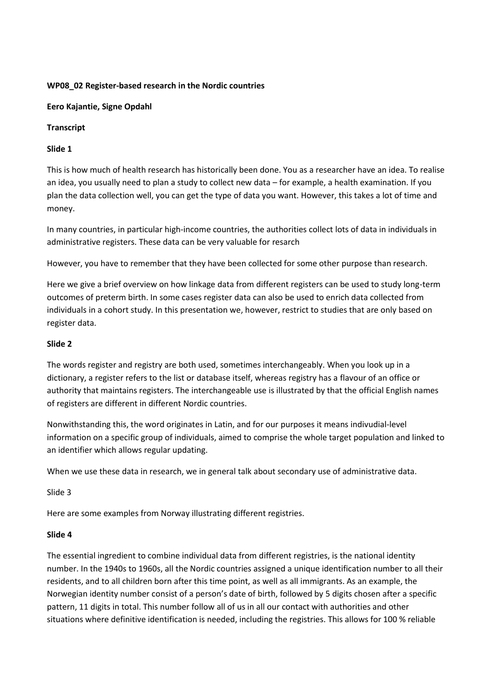### **WP08\_02 Register-based research in the Nordic countries**

#### **Eero Kajantie, Signe Opdahl**

# **Transcript**

### **Slide 1**

This is how much of health research has historically been done. You as a researcher have an idea. To realise an idea, you usually need to plan a study to collect new data – for example, a health examination. If you plan the data collection well, you can get the type of data you want. However, this takes a lot of time and money.

In many countries, in particular high-income countries, the authorities collect lots of data in individuals in administrative registers. These data can be very valuable for resarch

However, you have to remember that they have been collected for some other purpose than research.

Here we give a brief overview on how linkage data from different registers can be used to study long-term outcomes of preterm birth. In some cases register data can also be used to enrich data collected from individuals in a cohort study. In this presentation we, however, restrict to studies that are only based on register data.

### **Slide 2**

The words register and registry are both used, sometimes interchangeably. When you look up in a dictionary, a register refers to the list or database itself, whereas registry has a flavour of an office or authority that maintains registers. The interchangeable use is illustrated by that the official English names of registers are different in different Nordic countries.

Nonwithstanding this, the word originates in Latin, and for our purposes it means indivudial-level information on a specific group of individuals, aimed to comprise the whole target population and linked to an identifier which allows regular updating.

When we use these data in research, we in general talk about secondary use of administrative data.

#### Slide 3

Here are some examples from Norway illustrating different registries.

#### **Slide 4**

The essential ingredient to combine individual data from different registries, is the national identity number. In the 1940s to 1960s, all the Nordic countries assigned a unique identification number to all their residents, and to all children born after this time point, as well as all immigrants. As an example, the Norwegian identity number consist of a person's date of birth, followed by 5 digits chosen after a specific pattern, 11 digits in total. This number follow all of us in all our contact with authorities and other situations where definitive identification is needed, including the registries. This allows for 100 % reliable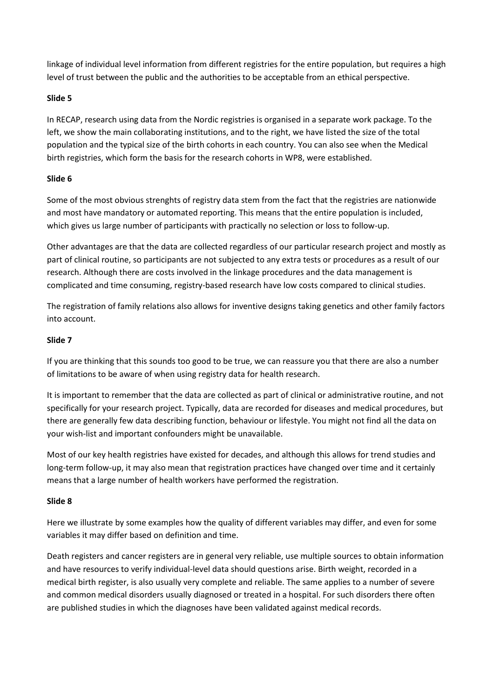linkage of individual level information from different registries for the entire population, but requires a high level of trust between the public and the authorities to be acceptable from an ethical perspective.

# **Slide 5**

In RECAP, research using data from the Nordic registries is organised in a separate work package. To the left, we show the main collaborating institutions, and to the right, we have listed the size of the total population and the typical size of the birth cohorts in each country. You can also see when the Medical birth registries, which form the basis for the research cohorts in WP8, were established.

# **Slide 6**

Some of the most obvious strenghts of registry data stem from the fact that the registries are nationwide and most have mandatory or automated reporting. This means that the entire population is included, which gives us large number of participants with practically no selection or loss to follow-up.

Other advantages are that the data are collected regardless of our particular research project and mostly as part of clinical routine, so participants are not subjected to any extra tests or procedures as a result of our research. Although there are costs involved in the linkage procedures and the data management is complicated and time consuming, registry-based research have low costs compared to clinical studies.

The registration of family relations also allows for inventive designs taking genetics and other family factors into account.

# **Slide 7**

If you are thinking that this sounds too good to be true, we can reassure you that there are also a number of limitations to be aware of when using registry data for health research.

It is important to remember that the data are collected as part of clinical or administrative routine, and not specifically for your research project. Typically, data are recorded for diseases and medical procedures, but there are generally few data describing function, behaviour or lifestyle. You might not find all the data on your wish-list and important confounders might be unavailable.

Most of our key health registries have existed for decades, and although this allows for trend studies and long-term follow-up, it may also mean that registration practices have changed over time and it certainly means that a large number of health workers have performed the registration.

#### **Slide 8**

Here we illustrate by some examples how the quality of different variables may differ, and even for some variables it may differ based on definition and time.

Death registers and cancer registers are in general very reliable, use multiple sources to obtain information and have resources to verify individual-level data should questions arise. Birth weight, recorded in a medical birth register, is also usually very complete and reliable. The same applies to a number of severe and common medical disorders usually diagnosed or treated in a hospital. For such disorders there often are published studies in which the diagnoses have been validated against medical records.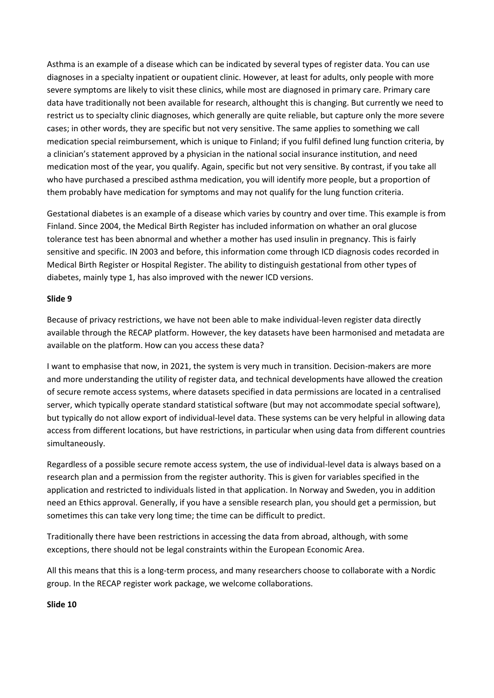Asthma is an example of a disease which can be indicated by several types of register data. You can use diagnoses in a specialty inpatient or oupatient clinic. However, at least for adults, only people with more severe symptoms are likely to visit these clinics, while most are diagnosed in primary care. Primary care data have traditionally not been available for research, althought this is changing. But currently we need to restrict us to specialty clinic diagnoses, which generally are quite reliable, but capture only the more severe cases; in other words, they are specific but not very sensitive. The same applies to something we call medication special reimbursement, which is unique to Finland; if you fulfil defined lung function criteria, by a clinician's statement approved by a physician in the national social insurance institution, and need medication most of the year, you qualify. Again, specific but not very sensitive. By contrast, if you take all who have purchased a prescibed asthma medication, you will identify more people, but a proportion of them probably have medication for symptoms and may not qualify for the lung function criteria.

Gestational diabetes is an example of a disease which varies by country and over time. This example is from Finland. Since 2004, the Medical Birth Register has included information on whather an oral glucose tolerance test has been abnormal and whether a mother has used insulin in pregnancy. This is fairly sensitive and specific. IN 2003 and before, this information come through ICD diagnosis codes recorded in Medical Birth Register or Hospital Register. The ability to distinguish gestational from other types of diabetes, mainly type 1, has also improved with the newer ICD versions.

### **Slide 9**

Because of privacy restrictions, we have not been able to make individual-leven register data directly available through the RECAP platform. However, the key datasets have been harmonised and metadata are available on the platform. How can you access these data?

I want to emphasise that now, in 2021, the system is very much in transition. Decision-makers are more and more understanding the utility of register data, and technical developments have allowed the creation of secure remote access systems, where datasets specified in data permissions are located in a centralised server, which typically operate standard statistical software (but may not accommodate special software), but typically do not allow export of individual-level data. These systems can be very helpful in allowing data access from different locations, but have restrictions, in particular when using data from different countries simultaneously.

Regardless of a possible secure remote access system, the use of individual-level data is always based on a research plan and a permission from the register authority. This is given for variables specified in the application and restricted to individuals listed in that application. In Norway and Sweden, you in addition need an Ethics approval. Generally, if you have a sensible research plan, you should get a permission, but sometimes this can take very long time; the time can be difficult to predict.

Traditionally there have been restrictions in accessing the data from abroad, although, with some exceptions, there should not be legal constraints within the European Economic Area.

All this means that this is a long-term process, and many researchers choose to collaborate with a Nordic group. In the RECAP register work package, we welcome collaborations.

# **Slide 10**